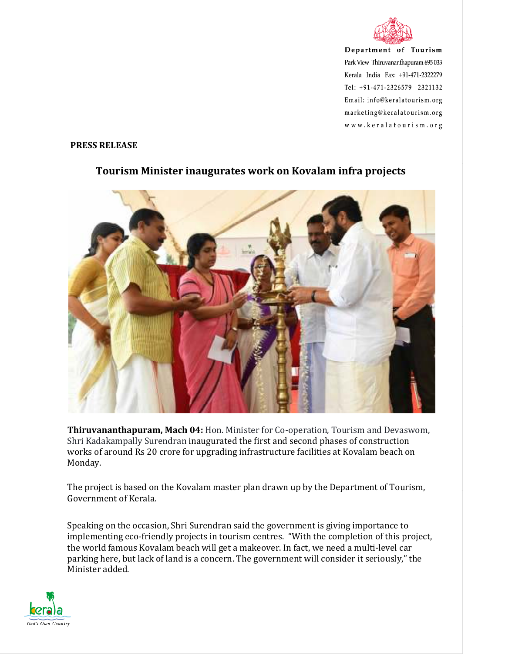

Department of Tourism Park View Thiruvananthapuram 695 033 Kerala India Fax: +91-471-2322279 Tel: +91-471-2326579 2321132 Email: info@keralatourism.org marketing@keralatourism.org www.keralatourism.org

## **PRESS RELEASE**



## **Tourism Minister inaugurates work on Kovalam infra projects**

**Thiruvananthapuram, Mach 04:** Hon. Minister for Co-operation, Tourism and Devaswom, Shri Kadakampally Surendran inaugurated the first and second phases of construction works of around Rs 20 crore for upgrading infrastructure facilities at Kovalam beach on Monday.

The project is based on the Kovalam master plan drawn up by the Department of Tourism, Government of Kerala.

Speaking on the occasion, Shri Surendran said the government is giving importance to implementing eco-friendly projects in tourism centres. "With the completion of this project, the world famous Kovalam beach will get a makeover. In fact, we need a multi-level car parking here, but lack of land is a concern. The government will consider it seriously," the Minister added.